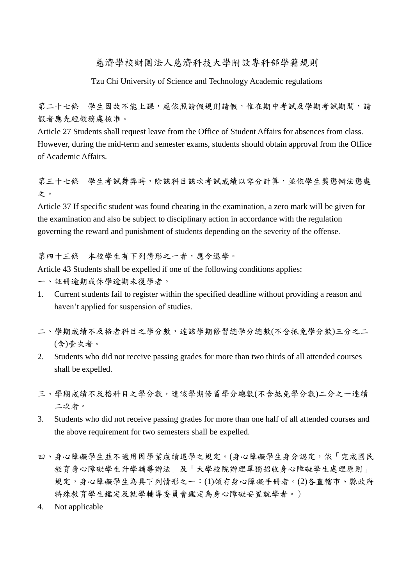慈濟學校財團法人慈濟科技大學附設專科部學籍規則

Tzu Chi University of Science and Technology Academic regulations

第二十七條 學生因故不能上課,應依照請假規則請假,惟在期中考試及學期考試期間,請 假者應先經教務處核准。

Article 27 Students shall request leave from the Office of Student Affairs for absences from class. However, during the mid-term and semester exams, students should obtain approval from the Office of Academic Affairs.

第三十七條 學生考試舞弊時,除該科目該次考試成績以零分計算,並依學生獎懲辦法懲處 之。

Article 37 If specific student was found cheating in the examination, a zero mark will be given for the examination and also be subject to disciplinary action in accordance with the regulation governing the reward and punishment of students depending on the severity of the offense.

第四十三條 本校學生有下列情形之一者,應今退學。

Article 43 Students shall be expelled if one of the following conditions applies:

一、註冊逾期或休學逾期未復學者。

- 1. Current students fail to register within the specified deadline without providing a reason and haven't applied for suspension of studies.
- 二、學期成績不及格者科目之學分數,達該學期修習總學分總數(不含抵免學分數)三分之二 (含)壹次者。
- 2. Students who did not receive passing grades for more than two thirds of all attended courses shall be expelled.
- 三、學期成績不及格科目之學分數,達該學期修習學分總數(不含抵免學分數)二分之一連續 二次者。
- 3. Students who did not receive passing grades for more than one half of all attended courses and the above requirement for two semesters shall be expelled.
- 四、身心障礙學生並不適用因學業成績退學之規定。(身心障礙學生身分認定,依「完成國民 教育身心障礙學生升學輔導辦法」及「大學校院辦理單獨招收身心障礙學生處理原則」 規定,身心障礙學生為具下列情形之一:(1)領有身心障礙手冊者。(2)各直轄市、縣政府 特殊教育學生鑑定及就學輔導委員會鑑定為身心障礙安置就學者。)
- 4. Not applicable